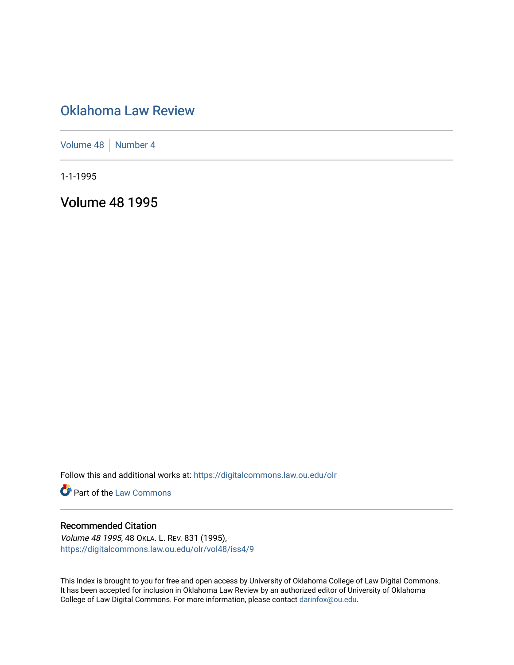# [Oklahoma Law Review](https://digitalcommons.law.ou.edu/olr)

[Volume 48](https://digitalcommons.law.ou.edu/olr/vol48) [Number 4](https://digitalcommons.law.ou.edu/olr/vol48/iss4)

1-1-1995

Volume 48 1995

Follow this and additional works at: [https://digitalcommons.law.ou.edu/olr](https://digitalcommons.law.ou.edu/olr?utm_source=digitalcommons.law.ou.edu%2Folr%2Fvol48%2Fiss4%2F9&utm_medium=PDF&utm_campaign=PDFCoverPages)

**Part of the [Law Commons](http://network.bepress.com/hgg/discipline/578?utm_source=digitalcommons.law.ou.edu%2Folr%2Fvol48%2Fiss4%2F9&utm_medium=PDF&utm_campaign=PDFCoverPages)** 

#### Recommended Citation

Volume 48 1995, 48 OKLA. L. REV. 831 (1995), [https://digitalcommons.law.ou.edu/olr/vol48/iss4/9](https://digitalcommons.law.ou.edu/olr/vol48/iss4/9?utm_source=digitalcommons.law.ou.edu%2Folr%2Fvol48%2Fiss4%2F9&utm_medium=PDF&utm_campaign=PDFCoverPages) 

This Index is brought to you for free and open access by University of Oklahoma College of Law Digital Commons. It has been accepted for inclusion in Oklahoma Law Review by an authorized editor of University of Oklahoma College of Law Digital Commons. For more information, please contact [darinfox@ou.edu.](mailto:darinfox@ou.edu)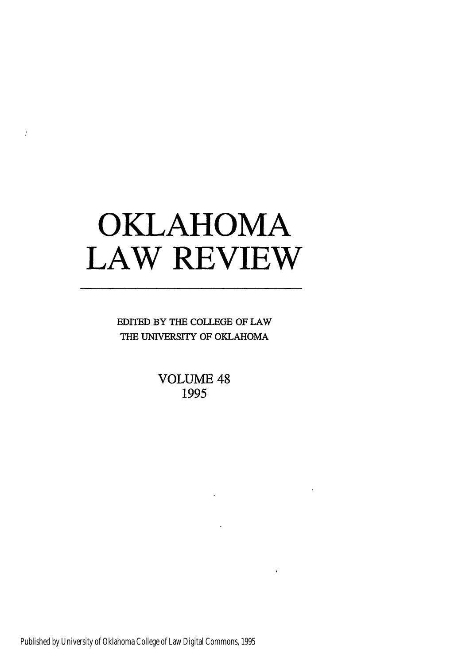# **OKLAHOMA LAW REVIEW**

ý

EDITED BY THE **COLLEGE** OF LAW THE UNIVERSITY OF OKLAHOMA

> **VOLUME** 48 **1995**

Published by University of Oklahoma College of Law Digital Commons, 1995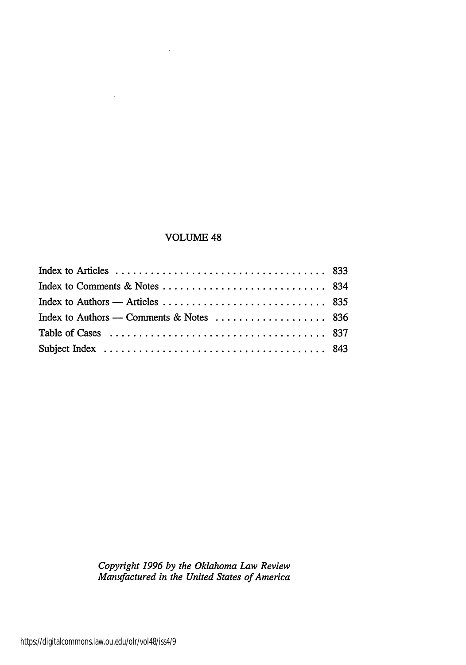## VOLUME 48

 $\cdot$ 

 $\overline{a}$ 

*Copyright 1996 by the Oklahoma Law Review Manufactured in the United States of America*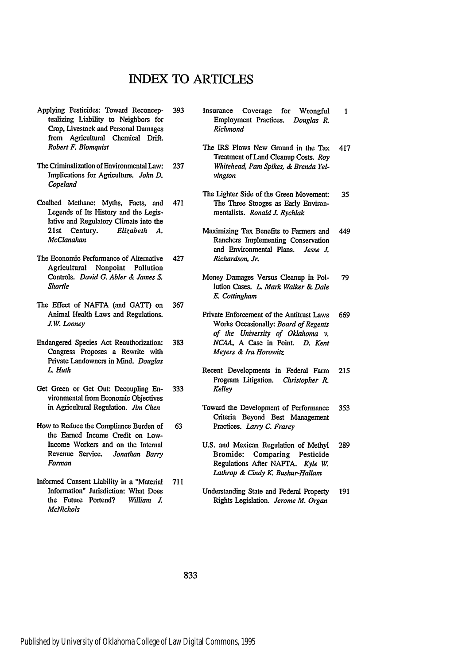# INDEX TO ARTICLES

- Applying Pesticides: Toward Reconceptualizing Liability to Neighbors for Crop, Livestock and Personal Damages from Agricultural Chemical Drift. *Robert F. Blomquist*
- The Criminalization of Environmental Law: Implications for Agriculture. *John D. Copeland*
- Coalbed Methane: Myths, Facts, and Legends of Its History and the Legislative and Regulatory Climate into the 21st Century. *Elizabeth A. McClanahan*
- The Economic Performance of Alternative Agricultural Nonpoint Pollution Controls. *David G. Abler & James S. Shortle*
- The Effect of NAFTA (and GATI) on Animal Health Laws and Regulations. *JW. Looney* 367
- Endangered Species Act Reauthorization: Congress Proposes a Rewrite with Private Landowners in Mind. *Douglas L Huth*
- Get Green or Get Out: Decoupling Environmental from Economic Objectives in Agricultural Regulation. *Jim Chen*
- How to Reduce the Compliance Burden of the Earned Income Credit on Low-Income Workers and on the Internal Revenue Service. *Jonathan Barry Forman*
- Informed Consent Liability in a "Material Information" Jurisdiction: What Does the Future Portend? *William J. McNichols* 711

**393** Insurance Coverage for Wrongful Employment Practices. *Douglas R. Richmond*

 $\mathbf{1}$ 

- The IRS Plows New Ground in the Tax 417 Treatment of Land Cleanup Costs. *Roy* 237 *Whitehead, Pam Spikes, & Brenda Yelvington*
- The Lighter Side of the Green Movement: 35 471 The Three Stooges as Early Environmentalists. *Ronald J, Rychlak*
- Maximizing Tax Benefits to Farmers and 449 Ranchers Implementing Conservation and Environmental Plans. *Jesse J.* 427 *Richardson, Jr.*
	- Money Damages Versus Cleanup in Pol-79 lution Cases. *L Mark Walker & Dale E. Cottingham*
- Private Enforcement of the Antitrust Laws 669 Works Occasionally: *Board of Regents of the University of Oklahoma v.* 383 *NCAA,* A Case in Point. *D. Kent Meyers & Ira Horowitz*
- Recent Developments in Federal Farm 215 Program Litigation. *Christopher R.* 333 *Kelley*
- Toward the Development of Performance 353 Criteria Beyond Best Management **63** Practices. *Larry C. Frarey*
	- U.S. and Mexican Regulation of Methyl 289 Bromide: Comparing Pesticide Regulations After NAFTA. *Kyle W. Lathrop & Cindy K. Bushur-Hallam*
	- Understanding State and Federal Property 191 Rights Legislation. *Jerome M. Organ*

833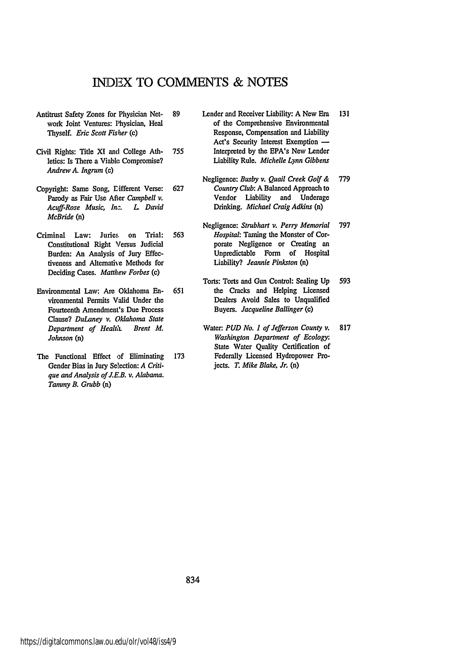### **INDEX** TO **COMMENTS & NOTES**

- Antitrust Safety Zones for Physician Network Joint Ventures: Physician, Heal Thyself. *Eric Scott Fisher* (c)
- Civil Rights: Title **Xl** and College Athletics: Is There a Viable Compromise? *Andrew A. Ingrum (c)*
- Copyright: Same Song, Lifferent Verse: Parody as Fair Use After *Campbell v. Acuff-Rose Music, In. L David McBride* (n)
- Criminal Law: Juries. on Trial: Constitutional Right Versus Judicial Burden: An Analysis of Jury Effectiveness and Alternative Methods for Deciding Cases. *Matthew Forbes (c)*
- Environmental Law: Are Oklahoma Environmental Permits Valid Under the Fourteenth Amendment's Due Process Clause? *DuLaney v. Oklahoma State Department of Healt,. Brent M. Johnson* (n)
- The Functional Effect of Eliminating Gender Bias in Jury Selection: *A Critique and Analysis of J.E.B. v. Alabama. Tammy B. Grubb* (n)
- **89** Lender and Receiver Liability: **A** New Era 131 of the Comprehensive Environmental Response, Compensation and Liability Act's Security Interest Exemption -**755** Interpreted **by** the EPA's New Lender Liability Rule. *Michelle Lynn Gibbens*
- Negligence: *Busby v. Quail Creek Golf &* 779 **627** *Country Club:* **A** Balanced Approach to Vendor Liability and Underage Drinking. *Michael Craig Adkins* (n)
- Negligence: *Strubhart v. Perry Memorial* 797 **563** *Hospital:* Taming the Monster of Corporate Negligence or Creating an Unpredictable Form of Hospital Liability? *Jeannie Pinkston* (n)
- 593 Torts: Torts and Gun Control: Sealing **Up 651** the Cracks and Helping Licensed Dealers Avoid Sales to Unqualified Buyers. *Jacqueline Ballinger (c)*
- Water: *PUD No. 1 of Jefferson County v.* 817 *Washington Department of Ecology:* State Water Quality Certification of **173** Federally Licensed Hydropower Projects. *T. Mike Blake, Jr.* (n)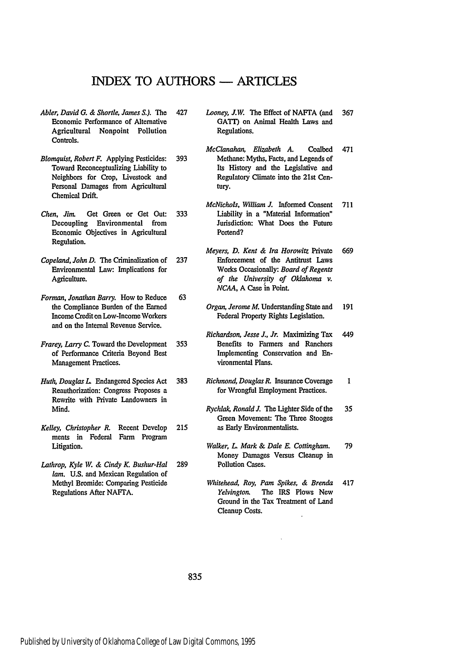# INDEX TO **AUTHORS -** ARTICLES

- *Abler, David G. & Shortle, James S.).* The Economic Performance of Alternative Agricultural Nonpoint Pollution Controls.
- *Blomquist, Robert F.* Applying Pesticides: Toward Reconceptualizing Liability to Neighbors for Crop, Livestock and Personal Damages from Agricultural Chemical Drift.
- *Chen. Jim.* Get Green or Get Out: Decoupling Environmental from Economic Objectives in Agricultural Regulation.
- *Copeland, John D.* The Criminalization of Environmental Law: Implications for Agriculture.
- *Forman, Jonathan Barry.* How to Reduce the Compliance Burden **of** the Earned Income Credit on Low-Income Workers and on the Internal Revenue Service. 63
- *Frarey, Larry C.* Toward the Development of Performance Criteria Beyond Best Management Practices.
- *Huth, Douglas L* Endangered Species Act Reauthorization: Congress Proposes a Rewrite with Private Landowners in Mind.
- *Kelley, Christopher R.* Recent Develop ments in Federal Farm Program Litigation.
- *Lathrop, Kyle W. & Cindy K. Bushur-Hal lam.* **U.S.** and Mexican Regulation of Methyl Bromide: Comparing Pesticide Regulations After NAFIA.
- 427 *Looney, J.W* The Effect of NAFTA (and 367 GATT) on Animal Health Laws and Regulations.
- *McClanahan, Elizabeth A.* Coalbed 471 393 Methane: Myths, Facts, and Legends of Its History and the Legislative and Regulatory Climate into the 21st Century.
- *McNichols, William J.* Informed Consent 711 333 Liability in a "Material Information" Jurisdiction: What Does the Future Portend?
- *Meyers, D. Kent & Ira Horowitz* Private 669 237 Enforcement of the Antitrust Laws Works Occasionally: *Board of Regents of the University of Oklahoma v. NCAA,* A Case in Point.
	- *Organ, Jerome M.* Understanding State and 191 Federal Property Rights Legislation.
- *Richardson, Jesse J., Jr.* Maximizing Tax 449 353 Benefits to Farmers and Ranchers Implementing Conservation and Environmental Plans.
- 383 *Richmond, Douglas R.* Insurance Coverage 1 for Wrongful Employment Practices.
- *Rychlak, Ronald J.* The Lighter Side of the 35 Green Movement: The Three Stooges 215 as Early Environmentalists.
- *Walker, L Mark & Dale E. Cottingham.* 79 Money Damages Versus Cleanup in **289** Pollution Cases.
	- *Whitehead, Roy, Pam Spikes, & Brenda* 417 *Yelvington.* The IRS Plows New Ground in the Tax Treatment of Land Cleanup Costs.

835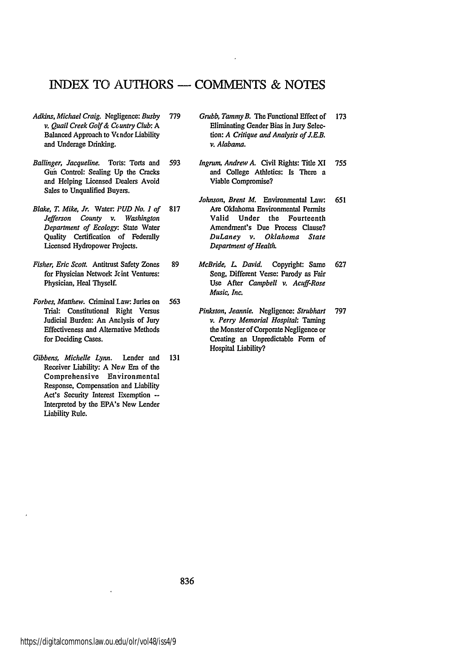## INDEX TO, **AUTHORS - COMMENTS & NOTES**

- *Adkins, Michael Craig.* Negligence: *Busby v. Quail Creek Golf &* Ceuntry *Club: A* Balanced Approach to Vendor Liability and Underage Drinking.
- *Ballinger, Jacqueline.* Torts: Torts and **Gun** Control: Sealing **Up** the Cracks and Helping Licensed Dealers Avoid Sales to Unqualified Buyers.
- *Blake, T. Mike, Jr. Water:. PUD No. 1 of Jefferson County v. Washington Department of Ecology:* State Water Quality Certification of Federally Licensed Hydropower Projects.
- *Fisher, Eric Scott.* Antitrust Safety Zones for Physician Network Jcint Ventures: Physician, Heal Thyself.
- *Forbes, Matthew.* Criminal Law: Juries on Trial: Constitutional Right Versus Judicial Burden: An Analysis of **Jury** Effectiveness and Alternative Methods for Deciding Cases. 563
- *Gibbens, Michelle Lynn.* Lender and 131 Receiver Liability: **A** *NeN* Era of the Comprehensive Environmental Response, Compensation and Liability **Act's** Security Interest Exemption **--** Interpreted **by** the EPA's New Lender Liability Rule.
- **779** *Grubb, Tammy B. The* Functional Effect of 173 Eliminating Gender Bias in Jury Selection: *A Critique and Analysis of J.E.B. v. Alabama.*
- 593 *Ingrum, Andrew A.* Civil Rights: Title XI 755 and College Athletics: Is There a Viable Compromise?
- *Johnson, Brent M.* Environmental Law: 651 **817** Are Oklahoma Environmental Permits Valid Under the Fourteenth Amendment's Due Process Clause? *DuLaney v. Oklahoma State Department of Health.*
- **89** *McBride, L David.* Copyright: Same 627 Song, Different Verse: Parody as Fair Use After *Campbell v. Acuff-Rose Music, Inc.*
	- *Pinkston, Jeannie.* Negligence: *Strubhart* 797 *v. Perry Memorial Hospital:* Taming the Monster of Corporate Negligence or Creating an Unpredictable Form of Hospital Liability?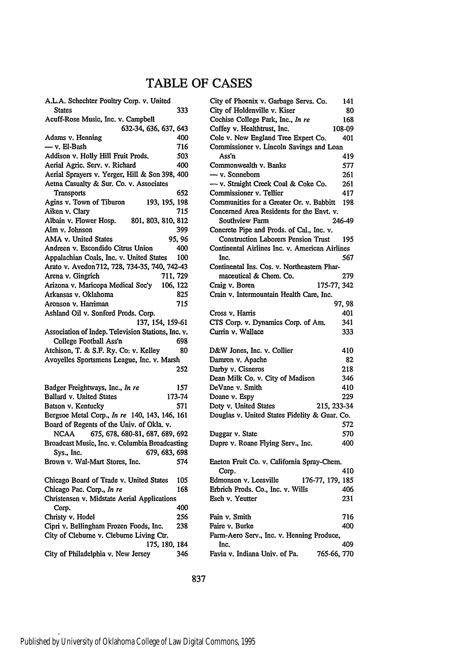# TABLE OF **CASES**

| A.L.A. Schechter Poultry Corp. v. United            |        |
|-----------------------------------------------------|--------|
| <b>States</b>                                       | 333    |
| Acuff-Rose Music, Inc. v. Campbell                  |        |
| 632-34, 636, 637, 643                               |        |
| Adams v. Henning                                    | 400    |
| — v. El-Bash                                        | 716    |
| Addison v. Holly Hill Fruit Prods.                  | 503    |
| Aerial Agric. Serv. v. Richard                      | 400    |
| Aerial Sprayers v. Yerger, Hill & Son 398, 400      |        |
| Aetna Casualty & Sur. Co. v. Associates             |        |
| Transports                                          | 652    |
| Agins v. Town of Tiburon<br>193, 195, 198           |        |
| Aiken v. Clary                                      | 715    |
| Albain v. Flower Hosp. 801, 803, 810, 812           |        |
| Alm v. Johnson                                      | 399    |
| AMA v. United States                                | 95, 96 |
| Andreen v. Escondido Citrus Union                   | 400    |
| Appalachian Coals, Inc. v. United States            | 100    |
| Arato v. Avedon 712, 728, 734-35, 740, 742-43       |        |
| Arena v. Gingrich<br>711, 729                       |        |
| Arizona v. Maricopa Medical Soc'y<br>106, 122       |        |
| Arkansas v. Oklahoma                                | 825    |
| Aronson v. Harriman                                 | 715    |
| Ashland Oil v. Sonford Prods. Corp.                 |        |
| 137, 154, 159-61                                    |        |
|                                                     |        |
|                                                     |        |
| Association of Indep. Television Stations, Inc. v.  |        |
| College Football Ass'n                              | 698    |
| Atchison, T. & S.F. Ry. Co: v. Kelley               | 80     |
| Avoyelles Sportsmens League, Inc. v. Marsh          |        |
|                                                     | 252    |
|                                                     |        |
| Badger Freightways, Inc., In re                     | 157    |
| Ballard v. United States                            | 173-74 |
| Batson v. Kentucky                                  | 571    |
| Bergsoe Metal Corp., In re 140, 143, 146, 161       |        |
| Board of Regents of the Univ. of Okla. v.           |        |
| 675, 678, 680-81, 687, 689, 692<br>NCAA             |        |
| Broadcast Music, Inc. v. Columbia Broadcasting      |        |
| 679, 683, 698<br>Sys., Inc.                         |        |
| Brown v. Wal-Mart Stores, Inc.                      | 574    |
|                                                     |        |
| Chicago Board of Trade v. United States             | 105    |
| Chicago Pac. Corp., In re                           | 168    |
| Christensen v. Midstate Aerial Applications         |        |
| Corp.                                               | 400    |
| Christy v. Hodel                                    | 256    |
| Cipri v. Bellingham Frozen Foods, Inc.              | 238    |
| City of Cleburne v. Cleburne Living Ctr.            |        |
| 175, 180, 184<br>City of Philadelphia v. New Jersey | 346    |

| City of Phoenix v. Garbage Servs. Co.          | 141         |
|------------------------------------------------|-------------|
| City of Holdenville v. Kiser                   | 80          |
| Cochise College Park, Inc., In re              | 168         |
| Coffey v. Healthtrust, Inc.                    | 108-09      |
| Cole v. New England Tree Expert Co.            | 401         |
| Commissioner v. Lincoln Savings and Loan       |             |
| Ass'n                                          | 419         |
| Commonwealth v. Banks                          | 577         |
| — v. Sonneborn                                 | 261         |
| - v. Straight Creek Coal & Coke Co.            | 261         |
| Commissioner v. Tellier                        | 417         |
| Communities for a Greater Or. v. Babbitt       | 198         |
| Concerned Area Residents for the Envt. v.      |             |
| Southview Farm                                 | 246-49      |
| Concrete Pipe and Prods. of Cal., Inc. v.      |             |
| <b>Construction Laborers Pension Trust</b>     | 195         |
| Continental Airlines Inc. v. American Airlines |             |
| Inc.                                           | 567         |
| Continental Ins. Cos. v. Northeastern Phar-    |             |
| maceutical & Chem. Co.                         | 279         |
| Craig v. Boren                                 | 175-77, 342 |
| Crain v. Intermountain Health Care, Inc.       |             |
|                                                | 97, 98      |
| Cross v. Harris                                | 401         |
| CTS Corp. v. Dynamics Corp. of Am.             | 341         |
| Currin v. Wallace                              | 333         |
|                                                |             |
| D&W Jones, Inc. v. Collier                     | 410         |
| Damron v. Apache                               | 82          |
| Darby v. Cisneros                              | 218         |
| Dean Milk Co. v. City of Madison               | 346         |
| DeVane v. Smith                                | 410         |
| Doane v. Espy                                  | 229         |
| Doty v. United States                          | 215, 233-34 |
| Douglas v. United States Fidelity & Guar. Co.  |             |
|                                                | 572         |
| Duggar v. State                                | 570         |
| Dupre v. Roane Flying Serv., Inc.              | 400         |
| Eaeton Fruit Co. v. California Spray-Chem.     |             |
| Corp.                                          | 410         |
| Edmonson v. Leesville<br>176-77, 179, 185      |             |
| Erbrich Prods. Co., Inc. v. Wills              | 406         |
| Esch v. Yeutter                                | 231         |
|                                                |             |
| Fain v. Smith                                  | 716         |
| Faire v. Burke                                 | 400         |
| Farm-Aero Serv., Inc. v. Henning Produce,      |             |
| Inc.                                           | 409         |
| Favia v. Indiana Univ. of Pa.                  | 765-66, 770 |
|                                                |             |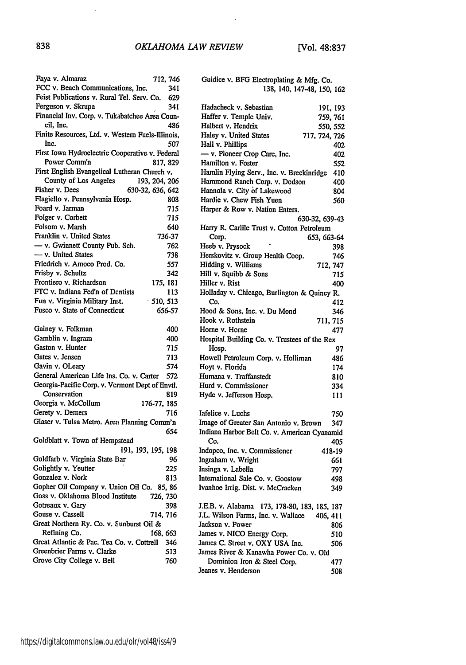$\ddot{\phantom{a}}$ 

| Faya v. Almaraz                                   | 712, 746 |
|---------------------------------------------------|----------|
| FCC v. Beach Communications, Inc.                 | 341      |
| Feist Publications v. Rural Tel. Serv. Co. 629    |          |
| Ferguson v. Skrupa                                | 341      |
| Financial Inv. Corp. v. Tukabatchee Area Coun-    |          |
| cil, Inc.                                         | 486      |
| Finite Resources, Ltd. v. Western Fuels-Illinois, |          |
| Inc.                                              |          |
|                                                   | 507      |
| First Iowa Hydroelectric Cooperative v. Federal   |          |
| Power Comm'n                                      | 817, 829 |
| First English Evangelical Lutheran Church v.      |          |
| County of Los Angeles<br>193, 204, 206            |          |
| Fisher v. Dees<br>630-32, 636, 642                |          |
| Flagiello v. Pennsylvania Hosp.                   | 808      |
| Foard v. Jarman                                   | 715      |
| Folger v. Corbett                                 | 715      |
| Folsom v. Marsh                                   | 640      |
| Franklin v. United States                         | 736-37   |
| - v. Gwinnett County Pub. Sch.                    | 762      |
| - v. United States                                | 738      |
| Friedrich v. Amoco Prod. Co.                      | 557      |
| Frisby v. Schultz                                 | 342      |
| Frontiero v. Richardson                           | 175, 181 |
| FTC v. Indiana Fed'n of Dentists                  | 113      |
| Fun v. Virginia Military Inst.<br>510, 513        |          |
| Fusco v. State of Connecticut                     | 656-57   |
|                                                   |          |
| Gainey v. Folkman                                 | 400      |
| Gamblin v. Ingram                                 | 400      |
| Gaston v. Hunter                                  | 715      |
| Gates v. Jensen                                   | 713      |
| Gavin v. OLeary                                   |          |
| General American Life Ins. Co. v. Carter          | 574      |
|                                                   | 572      |
| Georgia-Pacific Corp. v. Vermont Dept of Envtl.   |          |
| Conservation                                      | 819      |
| Georgia v. McCollum<br>176-77, 185                |          |
| Gerety v. Demers                                  | 716      |
| Glaser v. Tulsa Metro. Area Planning Comm'n       |          |
|                                                   | 654      |
| Goldblatt v. Town of Hempstead                    |          |
| 191, 193, 195, 198                                |          |
| Goldfarb v. Virginia State Ear                    | 96       |
| Golightly v. Yeutter                              | 225      |
| Gonzalez v. Nork                                  | 813      |
| Gopher Oil Company v. Union Oil Co. 85, 86        |          |
| Goss v. Oklahoma Blood Institute<br>726, 730      |          |
| Gotreaux v. Gary                                  | 398      |
| Gouse v. Cassell<br>714, 716                      |          |
| Great Northern Ry. Co. v. Sunburst Oil &          |          |
| Refining Co.<br>168, 663                          |          |
| Great Atlantic & Pac. Tea Co. v. Cottrell         | 346      |
| Greenbrier Farms v. Clarke                        | 513      |
|                                                   |          |
| Grove City College v. Bell                        | 760      |

| Guidice v. BFG Electroplating & Mfg. Co.       |            |
|------------------------------------------------|------------|
| 138, 140, 147-48, 150, 162                     |            |
| Hadacheck v. Sebastian                         | 191, 193   |
| Haffer v. Temple Univ.                         | 759, 761   |
| Halbert v. Hendrix                             | 550, 552   |
| Haley v. United States<br>717, 724, 726        |            |
| Hall v. Phillips                               | 402        |
| - v. Pioneer Crop Care, Inc.                   |            |
| Hamilton v. Foster                             | 402        |
| Hamlin Flying Serv., Inc. v. Breckinridge      | 552        |
| Hammond Ranch Corp. v. Dodson                  | 410<br>400 |
| Hannola v. City of Lakewood                    | 804        |
| Hardie v. Chew Fish Yuen                       | 560        |
| Harper & Row v. Nation Enters.                 |            |
| 630-32, 639-43                                 |            |
| Harry R. Carlile Trust v. Cotton Petroleum     |            |
| Corp.<br>653, 663-64                           |            |
| Heeb v. Prysock                                | 398        |
| Herskovitz v. Group Health Coop.               | 746        |
| Hidding v. Williams                            | 712, 747   |
| Hill v. Squibb & Sons                          | 715        |
| Hiller v. Rist                                 | 400        |
| Holladay v. Chicago, Burlington & Quincy R.    |            |
| Co.                                            | 412        |
| Hood & Sons, Inc. v. Du Mond                   | 346        |
| Hook v. Rothstein<br>711, 715                  |            |
| Horne v. Horne                                 | 477        |
| Hospital Building Co. v. Trustees of the Rex   |            |
| Hosp.                                          | 97         |
| Howell Petroleum Corp. v. Holliman             | 486        |
| Hoyt v. Florida                                | 174        |
| Humana y. Traffanstedt                         | 810        |
| Hurd v. Commissioner                           | 334        |
| Hyde v. Jefferson Hosp.                        | 111        |
| Iafelice v. Luchs                              | 750        |
| Image of Greater San Antonio v. Brown          | 347        |
| Indiana Harbor Belt Co. v. American Cyanamid   |            |
| Co.                                            | 405        |
| Indopco, Inc. v. Commissioner                  | 418-19     |
| Ingraham v. Wright                             | 661        |
| Insinga v. Labella                             | 797        |
| International Sale Co. v. Goostow              | 498        |
| Ivanhoe Irrig. Dist. v. McCracken              | 349        |
|                                                |            |
| J.E.B. v. Alabama 173, 178-80, 183, 185, 187   |            |
| J.L. Wilson Farms, Inc. v. Wallace<br>406, 411 |            |
| Jackson v. Power                               | 806        |
| James v. NICO Energy Corp.                     | 510        |
| James C. Street v. OXY USA Inc.                | 506        |
| James River & Kanawha Power Co. v. Old         |            |
| Dominion Iron & Steel Corp.                    | 477        |
| Jeanes v. Henderson                            | 508        |

 $\mathbf{r}$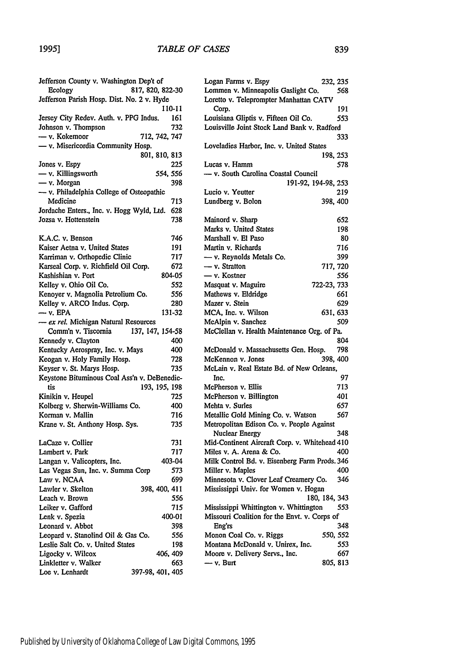#### *TABLE OF CASES*

| Jefferson County v. Washington Dep't of      |                      |
|----------------------------------------------|----------------------|
| Ecology                                      | 817, 820, 822-30     |
| Jefferson Parish Hosp. Dist. No. 2 v. Hyde   |                      |
|                                              | 110-11               |
| Jersey City Redev. Auth. v. PPG Indus.       | 161                  |
| Johnson v. Thompson                          | 732                  |
| — v. Kokemoor                                | 712, 742, 747        |
| - v. Misericordia Community Hosp.            |                      |
|                                              | 801, 810, 813        |
| Jones v. Espy                                | 225                  |
| — v. Killingsworth                           | 554, 556             |
| $-$ v. Morgan                                | 398                  |
| - v. Philadelphia College of Osteopathic     |                      |
| Medicine                                     | 713                  |
| Jordache Enters., Inc. v. Hogg Wyld, Ltd.    | 628                  |
| Jozsa v. Hottenstein                         | 738                  |
|                                              |                      |
| K.A.C. v. Benson                             | 746                  |
| Kaiser Aetna v. United States                | 191                  |
| Karriman v. Orthopedic Clinic                | 717                  |
|                                              |                      |
| Karseal Corp. v. Richfield Oil Corp.         | 672                  |
| Kashishian v. Port                           | 804-05               |
| Kelley v. Ohio Oil Co.                       | 552                  |
| Kenoyer v. Magnolia Petrolium Co.            | 556                  |
| Kelley v. ARCO Indus. Corp.                  | 280                  |
| — v. EPA                                     | 131-32               |
| - ex rel. Michigan Natural Resources         |                      |
| Comm'n v. Tiscornia                          | 137, 147, 154-58     |
| Kennedy v. Clayton                           | 400                  |
| Kentucky Aerospray, Inc. v. Mays             | 400                  |
| Keogan v. Holy Family Hosp.                  | 728                  |
| Keyser v. St. Marys Hosp.                    | 735                  |
| Keystone Bituminous Coal Ass'n v. DeBenedic- |                      |
| tis                                          | 193, 195, 198        |
| Kinikin v. Heupel                            | 725                  |
| Kolberg v. Sherwin-Williams Co.              | 400                  |
| Korman v. Mallin                             | 716                  |
| Krane v. St. Anthony Hosp. Sys.              | 735                  |
|                                              |                      |
| LaCaze v. Collier                            | 731                  |
| Lambert v. Park                              | 717                  |
| Langan v. Valicopters, Inc.                  | 403-04               |
| Las Vegas Sun, Inc. v. Summa Corp            | 573                  |
| Law v. NCAA                                  | 699                  |
|                                              |                      |
| Lawler v. Skelton<br>Leach v. Brown          | 398, 400, 411<br>556 |
|                                              |                      |
| Leiker v. Gafford                            | 715                  |
| Lenk v. Spezia                               | 400-01               |
| Leonard v. Abbot                             | 398                  |
| Leopard v. Stanolind Oil & Gas Co.           | 556                  |
| Leslie Salt Co. v. United States             | 198                  |
| Ligocky v. Wilcox                            | 406, 409             |
| Linkletter v. Walker                         | 663                  |
| Loe v. Lenhardt                              | 397-98, 401, 405     |
|                                              |                      |

| Dep't of   |                | Logan Farms v. Espy                           | 232, 235    |
|------------|----------------|-----------------------------------------------|-------------|
|            | 7, 820, 822-30 | Lommen v. Minneapolis Gaslight Co.            | 568         |
| 2 v. Hyde  |                | Loretto v. Teleprompter Manhattan CATV        |             |
|            | 110-11         | Corp.                                         | 191         |
| Indus.     | 161            | Louisiana Gliptis v. Fifteen Oil Co.          | 553         |
|            | 732            | Louisville Joint Stock Land Bank v. Radford   |             |
|            | 712, 742, 747  |                                               | 333         |
| losp.      |                | Loveladies Harbor, Inc. v. United States      |             |
|            | 801, 810, 813  |                                               | 198, 253    |
|            | 225            | Lucas v. Hamm                                 | 578         |
|            | 554, 556       | - v. South Carolina Coastal Council           |             |
|            | 398            | 191-92, 194-98, 253                           |             |
| teopathic  |                | Lucio v. Yeutter                              | 219         |
|            | 713            | Lundberg v. Bolon                             | 398, 400    |
| 'yld, Ltd. | 628            |                                               |             |
|            | 738            | Mainord v. Sharp                              | 652         |
|            |                | Marks v. United States                        | 198         |
|            | 746            | Marshall v. El Paso                           | 80          |
|            | 191            | Martin v. Richards                            | 716         |
|            | 717            | - v. Reynolds Metals Co.                      | 399         |
|            | 672            | $-$ v. Stratton                               | 717, 720    |
| orp.       | 804-05         | - v. Kostner                                  | 556         |
|            |                |                                               |             |
|            | 552            | Masquat v. Maguire                            | 722-23, 733 |
| Сο.        | 556            | Mathews v. Eldridge                           | 661         |
|            | 280            | Mazer v. Stein                                | 629         |
|            | 131-32         | MCA, Inc. v. Wilson                           | 631, 633    |
| urces      |                | McAlpin v. Sanchez                            | 509         |
|            | 7, 147, 154-58 | McClellan v. Health Maintenance Org. of Pa.   |             |
|            | 400            |                                               | 804         |
| /S         | 400            | McDonald v. Massachusetts Gen. Hosp.          | 798         |
|            | 728            | McKennon v. Jones                             | 398, 400    |
|            | 735            | McLain v. Real Estate Bd. of New Orleans,     |             |
|            | v. DeBenedic-  | Inc.                                          | 97          |
|            | 193, 195, 198  | McPherson v. Ellis                            | 713         |
|            | 725            | McPherson v. Billington                       | 401         |
|            | 400            | Mehta v. Surles                               | 657         |
|            | 716            | Metallic Gold Mining Co. v. Watson            | 567         |
|            | 735            | Metropolitan Edison Co. v. People Against     |             |
|            |                | Nuclear Energy                                | 348         |
|            | 731            | Mid-Continent Aircraft Corp. v. Whitehead 410 |             |
|            | 717            | Miles v. A. Arena & Co.                       | 400         |
|            | 403-04         | Milk Control Bd. v. Eisenberg Farm Prods. 346 |             |
| `orp       | 573            | Miller v. Maples                              | 400         |
|            | 699            | Minnesota v. Clover Leaf Creamery Co.         | 346         |
|            | 398, 400, 411  | Mississippi Univ. for Women v. Hogan          |             |
|            | 556            | 180, 184, 343                                 |             |
|            | 715            | Mississippi Whittington v. Whittington        | 553         |
|            | 400-01         | Missouri Coalition for the Envt. v. Corps of  |             |
|            | 398            | Eng'rs                                        | 348         |
| Co.        | 556            | Monon Coal Co. v. Riggs                       | 550, 552    |
|            | 198            | Montana McDonald v. Unirex, Inc.              | 553         |
|            | 406, 409       | Moore v. Delivery Servs., Inc.                | 667         |
|            | 663            | – v. Burt                                     | 805, 813    |
|            |                |                                               |             |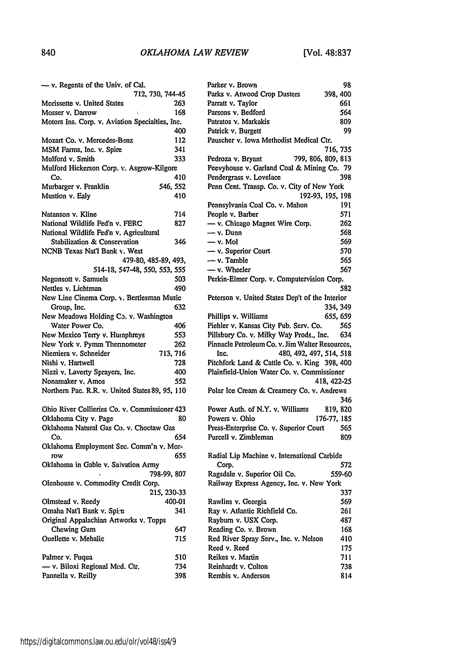| - v. Regents of the Univ. of Cal.               |                  |
|-------------------------------------------------|------------------|
|                                                 | 712, 730, 744-45 |
| Morissette v. United States                     | 263              |
| Mosser v. Darrow                                | 168              |
| Motors Ins. Corp. v. Aviation Specialties, Inc. |                  |
|                                                 | 400              |
| Mozart Co. v. Mercedes-Benz                     | 112              |
| MSM Farms, Inc. v. Spire                        | 341              |
| Mulford v. Smith                                | 333              |
| Mulford Hickerson Corp. v. Asgrow-Kilgore       |                  |
| Co.                                             | 410              |
| Murbarger v. Franklin                           | 546, 552         |
| Mustion v. Ealy                                 | 410              |
|                                                 |                  |
| Natanson v. Kline                               | 714              |
| National Wildlife Fed'n v. FERC                 | 827              |
| National Wildlife Fed'n v. Agricultural         |                  |
| Stabilization & Conservation                    | 346              |
| NCNB Texas Nat'l Bank v. West                   |                  |
|                                                 |                  |
| 479-80, 485-89, 493,                            |                  |
| 514-18, 547-48, 550, 553, 555                   |                  |
| Negonsott v. Samuels                            | 503              |
| Nettles v. Lichtman                             | 490              |
| New Line Cinema Corp. v. Bertlesman Music       |                  |
| Group, Inc.                                     | 632              |
| New Meadows Holding Co. v. Washington           |                  |
| Water Power Co.                                 | 406              |
| New Mexico Terry v. Humphreys                   | 553              |
| New York v. Pymm Thermometer                    | 262              |
| Niemiera v. Schneider                           | 713, 716         |
| Nishi v. Hartwell                               | 728              |
| Nizzi v. Laverty Sprayers, Inc.                 | 400              |
| Nonamaker v. Amos                               | 552              |
| Northern Pac. R.R. v. United States 89, 95, 110 |                  |
|                                                 |                  |
| Ohio River Collieries Co. v. Commissioner 423   |                  |
| Oklahoma City v. Page                           | 80               |
| Oklahoma Natural Gas Co. v. Choctaw Gas         |                  |
| Co.                                             | 654              |
| Oklahoma Employment Sec. Comm'n v. Mor-         |                  |
| row                                             | 655              |
| Oklahoma in Gable v. Salvation Army             |                  |
|                                                 | 798-99, 807      |
| Olenhouse v. Commodity Credit Corp.             |                  |
|                                                 |                  |
|                                                 | 215, 230-33      |
| Olmstead v. Reedy                               | 400-01           |
| Omaha Nat'l Bank v. Spire                       | 341              |
| Original Appalachian Artworks v. Topps          |                  |
| Chewing Gum                                     | 647              |
| Ouellette v. Mehalic                            | 715              |
|                                                 |                  |
| Palmer v. Fuqua                                 | 510              |
| - v. Biloxi Regional Med. Ctr.                  | 734              |
| Pannella v. Reilly                              | 398              |

| Parker v. Brown                                 | 98       |
|-------------------------------------------------|----------|
| Parks v. Atwood Crop Dusters                    | 398, 400 |
| Parratt v. Taylor                               | 661      |
| Parsons v. Bedford                              | 564      |
| Patratos v. Markakis                            | 809      |
| Patrick v. Burgett                              | 99       |
| Pauscher v. Iowa Methodist Medical Ctr.         |          |
| Pedroza v. Bryant<br>799, 806, 809, 813         | 716, 735 |
| Peevyhouse v. Garland Coal & Mining Co. 79      |          |
| Pendergrass v. Lovelace                         | 398      |
| Penn Cent. Transp. Co. v. City of New York      |          |
| 192-93, 195, 198                                |          |
| Pennsylvania Coal Co. v. Mahon                  | 191      |
| People v. Barber                                | 571      |
| - v. Chicago Magnet Wire Corp.                  | 262      |
| — v. Dunn                                       | 568      |
| — v. Mol                                        | 569      |
| - v. Superior Court                             | 570      |
| - v. Tamble                                     | 565      |
| — v. Wheeler                                    | 567      |
| Perkin-Elmer Corp. v. Computervision Corp.      |          |
|                                                 | 582      |
| Peterson v. United States Dep't of the Interior |          |
|                                                 | 334, 349 |
| Phillips v. Williams                            | 655, 659 |
| Piehler v. Kansas City Pub. Serv. Co.           | 565      |
| Pillsbury Co. v. Milky Way Prods., Inc. 634     |          |
| Pinnacle Petroleum Co. v. Jim Walter Resources, |          |
| 480, 492, 497, 514, 518<br>Inc.                 |          |
| Pitchfork Land & Cattle Co. v. King 398, 400    |          |
| Plainfield-Union Water Co. v. Commissioner      |          |
| 418, 422-25                                     |          |
| Polar Ice Cream & Creamery Co. v. Andrews       |          |
| Power Auth. of N.Y. v. Williams                 | 346      |
| 819, 820<br>Powers v. Ohio<br>176-77, 185       |          |
| Press-Enterprise Co. y. Superior Court          | 565      |
| Purcell v. Zimbleman                            | 809      |
|                                                 |          |
| Radial Lip Machine v. International Carbide     |          |
| Corp.                                           | 572      |
| Ragsdale v. Superior Oil Co.                    | 559-60   |
| Railway Express Agency, Inc. v. New York        |          |
|                                                 | 337      |
| Rawlins v. Georgia                              | 569.     |
| Ray v. Atlantic Richfield Co.                   | 261      |
| Rayburn v. USX Corp.                            | 487      |
| Reading Co. v. Brown                            | 168      |
| Red River Spray Serv., Inc. v. Nelson           | 410      |
| Reed v. Reed                                    | 175      |
| Reikes v. Martin                                | 711      |
| Reinhardt v. Colton                             | 738      |
| Rembis v. Anderson                              | 814      |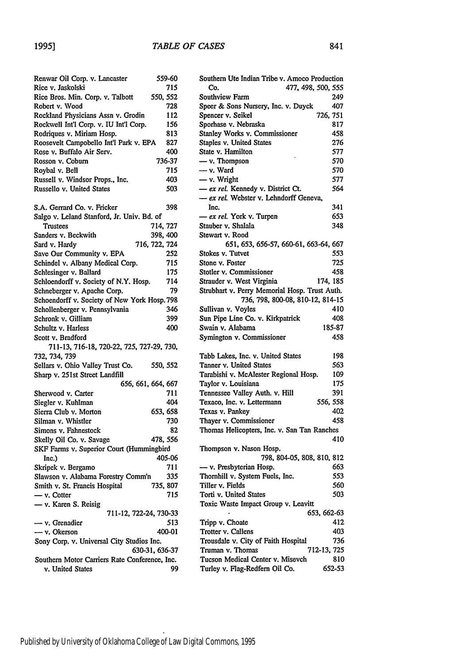| Renwar Oil Corp. v. Lancaster                  | 559-60             |
|------------------------------------------------|--------------------|
| Rice v. Jaskolski                              | 715                |
| Rice Bros. Min. Corp. v. Talbott               | 550, 552           |
| Robert v. Wood                                 | 728                |
| Rockland Physicians Assn v. Grodin             | 112                |
| Rockwell Int'l Corp. v. IU Int'l Corp.         | 156                |
| Rodriques v. Miriam Hosp.                      | 813                |
| Roosevelt Campobello Int'l Park v. EPA         | 827                |
| Rose v. Buffalo Air Serv.                      | 400                |
| Rosson v. Coburn                               | 736-37             |
| Roybal v. Bell                                 | 715                |
| Russell v. Windsor Props., Inc.                | 403                |
| Russello v. United States                      | 503                |
|                                                |                    |
| S.A. Gerrard Co. v. Fricker                    | 398                |
| Salgo v. Leland Stanford, Jr. Univ. Bd. of     |                    |
| Trustees                                       | 714, 727           |
| Sanders v. Beckwith                            | 398, 400           |
| Sard v. Hardy                                  | 716, 722, 724      |
| Save Our Community v. EPA                      | 252                |
| Schindel v. Albany Medical Corp.               | 715                |
| Schlesinger v. Ballard                         | 175                |
|                                                | 714                |
| Schloendorff v. Society of N.Y. Hosp.          | 79                 |
| Schneberger v. Apache Corp.                    |                    |
| Schoendorff v. Society of New York Hosp. 798   |                    |
| Schollenberger v. Pennsylvania                 | 346                |
| Schronk v. Gilliam                             | 399                |
| Schultz v. Harless                             | 400                |
| Scott v. Bradford                              |                    |
| 711-13, 716-18, 720-22, 725, 727-29, 730,      |                    |
| 732, 734, 739                                  |                    |
| Sellars v. Ohio Valley Trust Co.               | 550, 552           |
| Sharp v. 251st Street Landfill                 |                    |
|                                                | 656, 661, 664, 667 |
| Sherwood v. Carter                             | 711                |
| Siegler v. Kuhlman                             | 404                |
| Sierra Club v. Morton                          | 653, 658           |
| Silman v. Whistler                             | 730                |
| Simons v. Fahnestock                           | 82                 |
| Skelly Oil Co. v. Savage                       | 478, 556           |
| SKF Farms v. Superior Court (Hummingbird       |                    |
| Inc.)                                          | 405-06             |
| Skripek v. Bergamo                             | 711                |
| Slawson v. Alabama Forestry Comm'n             | 335                |
| Smith v. St. Francis Hospital                  | 735, 807           |
|                                                | 715                |
| — v. Cotter                                    |                    |
| - v. Karen S. Reisig<br>711-12, 722-24, 730-33 |                    |
|                                                |                    |
| — v. Grenadier                                 | 513                |
| $\longrightarrow$ v. Okerson                   | 400-01             |
| Sony Corp. v. Universal City Studios Inc.      |                    |
|                                                | 630-31, 636-37     |
| Southern Motor Carriers Rate Conference, Inc.  |                    |
| v. United States                               | 99                 |

| Southern Ute Indian Tribe v. Amoco Production |          |
|-----------------------------------------------|----------|
| Co.<br>477, 498, 500, 555                     |          |
| Southview Farm                                | 249      |
| Speer & Sons Nursery, Inc. v. Duyck           | 407      |
| Spencer v. Seikel                             | 726, 751 |
| Sporhase v. Nebraska                          | 817      |
| Stanley Works v. Commissioner                 | 458      |
| Staples v. United States                      | 276      |
| State v. Hamilton                             | 577      |
| - v. Thompson                                 | 570      |
| — v. Ward                                     | 570      |
| $-$ v. Wright                                 | 577      |
| - ex rel. Kennedy v. District Ct.             | 564      |
| - ex rel. Webster v. Lehndorff Geneva,        |          |
| Inc.                                          | 341      |
| - ex rel. York v. Turpen                      | 653      |
| Stauber v. Shalala                            | 348      |
| Stewart v. Rood                               |          |
| 651, 653, 656-57, 660-61, 663-64, 667         |          |
| Stokes v. Tutvet                              | 553      |
| Stone v. Foster                               | 725      |
|                                               |          |
| Stotler v. Commissioner                       | 458      |
| Strauder v. West Virginia                     | 174, 185 |
| Strubhart v. Perry Memorial Hosp. Trust Auth. |          |
| 736, 798, 800-08, 810-12, 814-15              |          |
| Sullivan v. Voyles                            | 410      |
| Sun Pipe Line Co. v. Kirkpatrick              | 408      |
|                                               |          |
| Swain v. Alabama                              | 185-87   |
| Symington v. Commissioner                     | 458      |
|                                               |          |
| Tabb Lakes, Inc. v. United States             | 198      |
| Tanner v. United States                       | 563      |
| Tarabishi v. McAlester Regional Hosp.         | 109      |
| Taylor v. Louisiana                           | 175      |
| Tennessee Valley Auth. v. Hill                | 391      |
| Texaco, Inc. v. Lettermann                    | 556, 558 |
| Texas v. Pankey                               | 402      |
| Thayer v. Commissioner                        | 458      |
| Thomas Helicopters, Inc. v. San Tan Ranches   |          |
|                                               | 410      |
| Thompson v. Nason Hosp.                       |          |
| 798, 804-05, 808, 810, 812                    |          |
| - v. Presbyterian Hosp.                       | 663      |
| Thornhill v. System Fuels, Inc.               | 553      |
| Tiller v. Fields                              | 560      |
| Torti v. United States                        | 503      |
| Toxic Waste Impact Group v. Leavitt           |          |
| 653, 662-63                                   |          |
| Tripp v. Choate                               | 412      |
| Trotter v. Callens                            | 403      |
| Trousdale v. City of Faith Hospital           | 736      |
| Truman v. Thomas<br>712-13, 725               |          |
| Tucson Medical Center v. Misevch              | 810      |
| Turley v. Flag-Redfern Oil Co.                | 652-53   |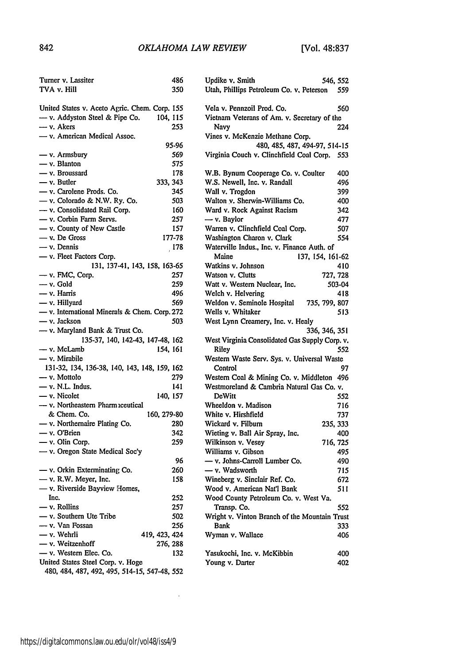| Turner v. Lassiter                            | 486      |
|-----------------------------------------------|----------|
| TVA v. Hill                                   | 350      |
|                                               |          |
| United States v. Aceto Agric. Chem. Corp. 155 |          |
| $-$ v. Addyston Steel & Pipe Co.              | 104, 115 |
| - v. Akers                                    | 253      |
| - v. American Medical Assoc.                  |          |
|                                               | 95-96    |
|                                               | 569      |
| - v. Armsbury                                 |          |
| - v. Blanton                                  | 575      |
| - v. Broussard                                | 178      |
| — v. Butler                                   | 333, 343 |
| - v. Carolene Prods. Co.                      | 345      |
| - v. Colorado & N.W. Ry. Co.                  | 503      |
| - v. Consolidated Rail Corp.                  | 160      |
| - v. Corbin Farm Servs.                       | 257      |
| - v. County of New Castle                     | 157      |
| $-$ v. De Gross                               | 177-78   |
| $-$ v. Dennis                                 | 178      |
| - v. Fleet Factors Corp.                      |          |
| 131, 137-41, 143, 158, 163-65                 |          |
| $-$ v. FMC, Corp.                             | 257      |
| $-$ v. Gold                                   | 259      |
| - v. Harris                                   | 496      |
| - v. Hillyard                                 |          |
|                                               | 569      |
| - v. International Minerals & Chem. Corp. 272 |          |
| - v. Jackson                                  | 503      |
| - v. Maryland Bank & Trust Co.                |          |
| 135-37, 140, 142-43, 147-48, 162              |          |
| — v. McLamb                                   | 154, 161 |
| - v. Mirabile                                 |          |
| 131-32, 134, 136-38, 140, 143, 148, 159, 162  |          |
| - v. Mottolo                                  | 279      |
| - v. N.L. Indus.                              | 141      |
| - v. Nicolet                                  | 140, 157 |
| - v. Northeastern Pharm iceutical             |          |
| & Chem. Co.<br>160, 279-80                    |          |
| - v. Northernaire Plating Co.                 | 280      |
| - v. O'Brien                                  | 342      |
| - v. Olin Corp.                               | 259      |
|                                               |          |
| - v. Oregon State Medical Soc'y               |          |
|                                               | 96       |
| - v. Orkin Exterminating Co.                  | 260      |
| - v. R.W. Meyer, Inc.                         | 158      |
| - v. Riverside Bayview Homes,                 |          |
| Inc.                                          | 252      |
| — v. Rollins                                  | 257      |
| - v. Southern Ute Tribe                       | 502      |
| - v. Van Fossan                               | 256      |
| — v. Wehrli<br>419, 423, 424                  |          |
| - v. Weitzenhoff                              | 276, 288 |
| - v. Western Elec. Co.                        | 132      |
| United States Steel Corp. v. Hoge             |          |
| 480, 484, 487, 492, 495, 514-15, 547-48, 552  |          |
|                                               |          |

| 486        | Updike v. Smith<br>546, 552                                     |
|------------|-----------------------------------------------------------------|
| 350        | Utah, Phillips Petroleum Co. v. Peterson<br>559                 |
| 155        | Vela v. Pennzoil Prod. Co.<br>560                               |
| 115        | Vietnam Veterans of Am. v. Secretary of the                     |
| 253        | Navy<br>224                                                     |
|            | Vines v. McKenzie Methane Corp.                                 |
| 5-96       | 480, 485, 487, 494-97, 514-15                                   |
| 569        | Virginia Couch v. Clinchfield Coal Corp.<br>553                 |
| 575        |                                                                 |
| 178        | W.B. Bynum Cooperage Co. v. Coulter<br>400                      |
| 343        | W.S. Newell, Inc. v. Randall<br>496                             |
| 345        | Wall v. Trogdon<br>399                                          |
| 503        | Walton v. Sherwin-Williams Co.<br>400                           |
| 160        | Ward v. Rock Against Racism<br>342                              |
| 257        | - v. Baylor<br>477                                              |
| 157        | Warren v. Clinchfield Coal Corp.<br>507                         |
| 7-78       | Washington Charon v. Clark<br>554                               |
| 178        | Waterville Indus., Inc. v. Finance Auth. of                     |
|            | Maine<br>137, 154, 161-62                                       |
| 3-65       | Watkins v. Johnson<br>410                                       |
| 257        | Watson v. Clutts<br>727, 728                                    |
| 259        | Watt v. Western Nuclear, Inc.<br>503-04                         |
| 496        | Welch v. Helvering<br>418                                       |
| 569        | Weldon v. Seminole Hospital 735, 799, 807                       |
| 272        | Wells v. Whitaker<br>513                                        |
| 503        | West Lynn Creamery, Inc. v. Healy                               |
|            | 336, 346, 351<br>West Virginia Consolidated Gas Supply Corp. v. |
| 162<br>161 | Riley<br>552                                                    |
|            | Western Waste Serv. Sys. v. Universal Waste                     |
| 162        | Control<br>97                                                   |
| 279        |                                                                 |
|            | Western Coal & Mining Co. v. Middleton 496                      |
| 141<br>157 | Westmoreland & Cambria Natural Gas Co. v.<br>DeWitt             |
|            | 552                                                             |
|            | Wheeldon v. Madison<br>716<br>White v. Hirshfield               |
| 9-80       | 737                                                             |
| 280        | Wickard v. Filburn<br>235, 333                                  |
| 342<br>259 | Wieting v. Ball Air Spray, Inc.<br>400                          |
|            | Wilkinson v. Vesey<br>716, 725                                  |
|            | Williams v. Gibson<br>495                                       |
| 96         | - v. Johns-Carroll Lumber Co.<br>490                            |
| 260        | - v. Wadsworth<br>715                                           |
| 158        | Wineberg v. Sinclair Ref. Co.<br>672                            |
|            | Wood v. American Nat'l Bank<br>511                              |
| 252        | Wood County Petroleum Co. v. West Va.                           |
| 257        | Transp. Co.<br>552                                              |
| 502        | Wright v. Vinton Branch of the Mountain Trust                   |
| 256        | Bank<br>333                                                     |
| 424        | Wyman v. Wallace<br>406                                         |
| 288        |                                                                 |
| 132        | Yasukochi, Inc. v. McKibbin<br>400                              |
|            | Young v. Darter<br>402                                          |

 $\sim 400$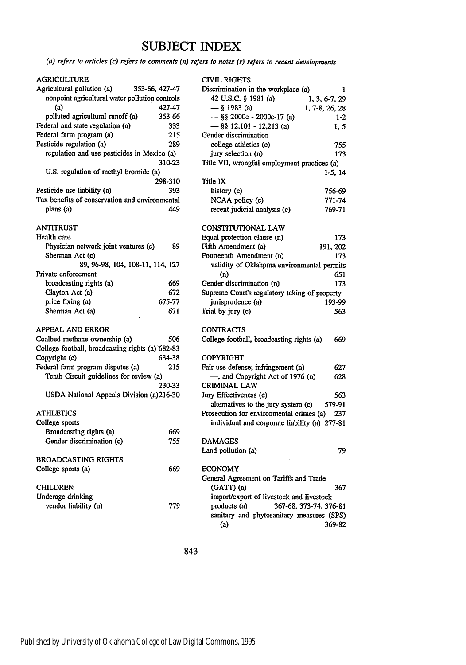# **SUBJECT** INDEX

*(a) refers to articles (c) refers to comments (n) refers to notes (r) refers to recent developments*

#### AGRICULTURE

| Agricultural pollution (a)<br>353-66, 427-47     |         |
|--------------------------------------------------|---------|
| nonpoint agricultural water pollution controls   |         |
| (a)                                              | 427-47  |
| polluted agricultural runoff (a)                 | 353-66  |
| Federal and state regulation (a)                 | 333     |
| Federal farm program (a)                         | 215     |
| Pesticide regulation (a)                         | 289     |
| regulation and use pesticides in Mexico (a)      |         |
|                                                  | 310-23  |
| U.S. regulation of methyl bromide (a)            |         |
|                                                  | 298-310 |
| Pesticide use liability (a)                      | 393     |
| Tax benefits of conservation and environmental   |         |
| plans (a)                                        | 449     |
| ANTITRUST                                        |         |
| Health care                                      |         |
| Physician network joint ventures (c)             | 89      |
| Sherman Act (c)                                  |         |
| 89, 96-98, 104, 108-11, 114, 127                 |         |
| Private enforcement                              |         |
| broadcasting rights (a)                          | 669     |
| Clayton Act (a)                                  | 672     |
| price fixing (a)                                 | 675-77  |
| Sherman Act (a)                                  | 671     |
|                                                  |         |
| <b>APPEAL AND ERROR</b>                          |         |
| Coalbed methane ownership (a)                    | 506     |
| College football, broadcasting rights (a) 682-83 |         |
| Copyright (c)                                    | 634-38  |
| Federal farm program disputes (a)                | 215     |
| Tenth Circuit guidelines for review (a)          |         |
|                                                  | 230-33  |
| USDA National Appeals Division (a)216-30         |         |
| <b>ATHLETICS</b>                                 |         |
| College sports                                   |         |
| Broadcasting rights (a)                          | 669     |
| Gender discrimination (c)                        | 755     |
|                                                  |         |
| <b>BROADCASTING RIGHTS</b>                       |         |
| College sports (a)                               | 669     |
| <b>CHILDREN</b>                                  |         |
| Underage drinking                                |         |
| vendor liability (n)                             | 779     |
|                                                  |         |
|                                                  |         |

|       | <b>CIVIL RIGHTS</b>                           |           |
|-------|-----------------------------------------------|-----------|
| $-47$ | Discrimination in the workplace (a)           | 1         |
| rols  | 42 U.S.C. § 1981 (a)<br>1, 3, 6-7, 29         |           |
| '-47  | $-$ § 1983 (a)<br>1, 7-8, 26, 28              |           |
| 66-ا  | — §§ 2000e - 2000e-17 (a)                     | $1-2$     |
| 333   | $-$ §§ 12,101 - 12,213 (a)                    | 1, 5      |
| 215   | Gender discrimination                         |           |
| 289   | college athletics (c)                         | 755       |
| (a)   | jury selection (n)                            | 173       |
| 1-23  | Title VII, wrongful employment practices (a)  |           |
|       |                                               | $1-5, 14$ |
| 310   | Title IX                                      |           |
| 393   | history (c)                                   | 756-69    |
| ntal  | NCAA policy (c)                               | 771-74    |
| 449   | recent judicial analysis (c)                  | 769-71    |
|       |                                               |           |
|       | <b>CONSTITUTIONAL LAW</b>                     |           |
|       | Equal protection clause (n)                   | 173       |
| 89    | Fifth Amendment (a)<br>191, 202               |           |
|       | Fourteenth Amendment (n)                      | 173       |
| 127   | validity of Oklahoma environmental permits    |           |
|       | (n)                                           | 651       |
| 669   | Gender discrimination (n)                     | 173       |
| 672   | Supreme Court's regulatory taking of property |           |
| $-77$ | jurisprudence (a)                             | 193-99    |
| 671   | Trial by jury (c)                             | 563       |
|       |                                               |           |
|       | CONTRACTS                                     |           |
| 506   | College football, broadcasting rights (a)     | 669       |
| -83   |                                               |           |
| -38   | <b>COPYRIGHT</b>                              |           |
| 215   | Fair use defense; infringement (n)            | 627       |
|       | -, and Copyright Act of 1976 (n)              | 628       |
| -33   | CRIMINAL LAW                                  |           |
| -30   | Jury Effectiveness (c)                        | 563       |
|       | alternatives to the jury system (c)           | 579-91    |
|       | Prosecution for environmental crimes (a)      | 237       |
|       | individual and corporate liability (a) 277-81 |           |
| 669   |                                               |           |
| 755   | <b>DAMAGES</b>                                |           |
|       | Land pollution (a)                            | 79        |
|       |                                               |           |
| 669   | <b>ECONOMY</b>                                |           |
|       | General Agreement on Tariffs and Trade        |           |
|       | (GATT) (a)                                    | 367       |
|       | import/export of livestock and livestock      |           |
| 779   | products (a)<br>367-68, 373-74, 376-81        |           |
|       | sanitary and phytosanitary measures (SPS)     |           |
|       | (a)                                           | 369-82    |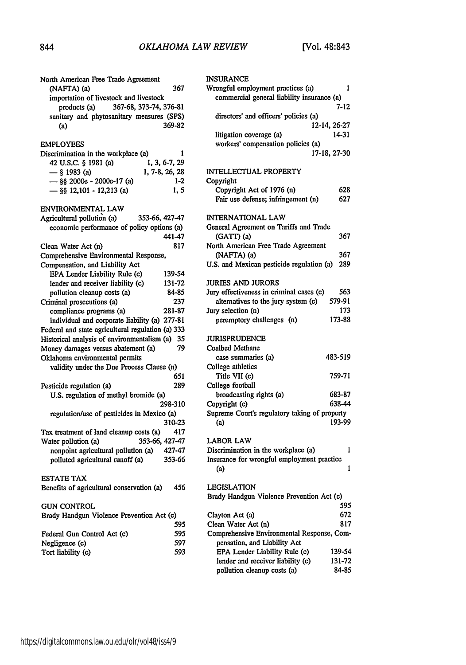| North American Free Trade Agreement<br>(NAFTA) (a) | 367    |
|----------------------------------------------------|--------|
| importation of livestock and livestock             |        |
| 367-68, 373-74, 376-81<br>products (a)             |        |
| sanitary and phytosanitary measures (SPS)          |        |
|                                                    | 369-82 |
| (a)                                                |        |
| EMPLOYEES                                          |        |
| Discrimination in the workplace (a)                | ı      |
| 42 U.S.C. § 1981 (a)<br>1, 3, 6-7, 29              |        |
| $-$ § 1983 (a)<br>1, 7-8, 26, 28                   |        |
| - §§ 2000e - 2000e-17 (a)                          | $1-2$  |
| $-$ §§ 12,101 - 12,213 (a)                         | 1, 5   |
| ENVIRONMENTAL LAW                                  |        |
| Agricultural pollution (a)<br>353-66, 427-47       |        |
| economic performance of policy options (a)         |        |
|                                                    | 441-47 |
| Clean Water Act (n)                                | 817    |
| Comprehensive Environmental Response,              |        |
| Compensation, and Liability Act                    |        |
| EPA Lender Liability Rule (c)                      | 139-54 |
| lender and receiver liability (c)                  | 131-72 |
| pollution cleanup costs (a)                        | 84-85  |
| Criminal prosecutions (a)                          | 237    |
| compliance programs (a)                            | 281-87 |
| individual and corporate liability (a) 277-81      |        |
| Federal and state agricultural regulation (a) 333  |        |
| Historical analysis of environmentalism (a) 35     |        |
| Money damages versus abatement (a)                 | 79     |
| Oklahoma environmental permits                     |        |
| validity under the Due Process Clause (n)          |        |
|                                                    | 651    |
| Pesticide regulation (a)                           | 289    |
|                                                    |        |
| U.S. regulation of methyl bromide (a)<br>298-310   |        |
| regulation/use of pesticides in Mexico (a)         |        |
|                                                    | 310-23 |
| Tax treatment of land cleanup costs (a)            | 417    |
| 353-66, 427-47<br>Water pollution (a)              |        |
| nonpoint agricultural pollution (a)<br>427-47      |        |
| polluted agricultural runoff (a)                   | 353-66 |
|                                                    |        |
| <b>ESTATE TAX</b>                                  |        |
| Benefits of agricultural conservation (a)          | -456   |
| <b>GUN CONTROL</b>                                 |        |
| Brady Handgun Violence Prevention Act (c)          |        |
|                                                    | 595    |
| Federal Gun Control Act (c)                        | 595    |
| Negligence (c)                                     | 597    |
| Tort liability (c)                                 | 593    |
|                                                    |        |

| INSURANCE                                     |              |
|-----------------------------------------------|--------------|
| Wrongful employment practices (a)             | ı            |
| commercial general liability insurance (a)    |              |
|                                               | 7-12         |
| directors' and officers' policies (a)         |              |
|                                               | 12-14, 26-27 |
| litigation coverage (a)                       | 14-31        |
| workers' compensation policies (a)            |              |
|                                               | 17-18, 27-30 |
| <b>INTELLECTUAL PROPERTY</b>                  |              |
| Copyright                                     |              |
| Copyright Act of 1976 (n)                     | 628          |
| Fair use defense; infringement (n)            | 627          |
|                                               |              |
| INTERNATIONAL LAW                             |              |
| General Agreement on Tariffs and Trade        |              |
| (GATT) (a)                                    | 367          |
| North American Free Trade Agreement           |              |
| (NAFTA) (a)                                   | 367<br>289   |
| U.S. and Mexican pesticide regulation (a)     |              |
| JURIES AND JURORS                             |              |
| Jury effectiveness in criminal cases (c)      | 563          |
| alternatives to the jury system (c)           | 579-91       |
| Jury selection (n)                            | 173          |
| peremptory challenges (n)                     | 173-88       |
|                                               |              |
| <b>JURISPRUDENCE</b>                          |              |
| Coalbed Methane                               |              |
| case summaries (a)                            | 483-519      |
| College athletics<br>Title VII (c)            | 759-71       |
| College football                              |              |
| broadcasting rights (a)                       | 683-87       |
| Copyright (c)                                 | 638-44       |
| Supreme Court's regulatory taking of property |              |
| (a)                                           | 193-99       |
|                                               |              |
| <b>LABOR LAW</b>                              |              |
| Discrimination in the workplace (a)           | 1            |
| Insurance for wrongful employment practice    |              |
| (a)                                           | ı            |
| <b>LEGISLATION</b>                            |              |
| Brady Handgun Violence Prevention Act (c)     |              |
|                                               | 595          |
| Clayton Act (a)                               | 672          |
| Clean Water Act (n)                           | 817          |
| Comprehensive Environmental Response, Com-    |              |
| pensation, and Liability Act                  |              |
| EPA Lender Liability Rule (c)                 | 139-54       |
| lender and receiver liability (c)             | 131-72       |
| pollution cleanup costs (a)                   | 84-85        |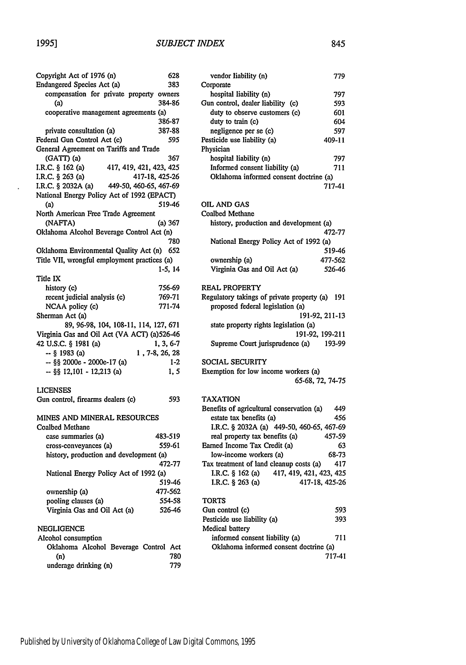$\ddot{\phantom{a}}$ 

| Copyright Act of 1976 (n)                         | 628            |
|---------------------------------------------------|----------------|
| Endangered Species Act (a)                        | 383            |
| compensation for private property owners<br>(a)   | 384-86         |
| cooperative management agreements (a)             |                |
|                                                   | 386-87         |
| private consultation (a)                          | 387-88         |
|                                                   |                |
| Federal Gun Control Act (c)                       | 595            |
| General Agreement on Tariffs and Trade            |                |
| (GATT) (a)                                        | 367            |
| 417, 419, 421, 423, 425<br>I.R.C. § 162 (a)       |                |
| I.R.C. § 263 (a)<br>417-18, 425-26                |                |
| I.R.C. § 2032A (a) 449-50, 460-65, 467-69         |                |
| National Energy Policy Act of 1992 (EPACT)<br>(a) | 519-46         |
| North American Free Trade Agreement               |                |
| (NAFTA)                                           | (a) 367        |
| Oklahoma Alcohol Beverage Control Act (n)         |                |
|                                                   |                |
|                                                   | 780            |
| Oklahoma Environmental Quality Act (n)            | 652            |
| Title VII, wrongful employment practices (a)      |                |
|                                                   | 1-5, 14        |
| Title IX                                          |                |
| history (c)                                       | 756-69         |
| recent judicial analysis (c)                      | 769-71         |
| NCAA policy (c)                                   | 771-74         |
| Sherman Act (a)                                   |                |
| 89, 96-98, 104, 108-11, 114, 127, 671             |                |
| Virginia Gas and Oil Act (VA ACT) (a)526-46       |                |
| 42 U.S.C. § 1981 (a)                              |                |
|                                                   | 1, 3, 6-7      |
| -- § 1983 (a)                                     | 1, 7-8, 26, 28 |
| -- §§ 2000e - 2000e-17 (a)                        | $1-2$          |
| $-$ §§ 12,101 - 12,213 (a)                        | 1, 5           |
| <b>LICENSES</b>                                   |                |
| Gun control, firearms dealers (c)                 | 593            |
| MINES AND MINERAL RESOURCES                       |                |
| Coalbed Methane                                   |                |
| case summaries (a)                                | 483-519        |
| cross-conveyances (a)                             | 559-61         |
|                                                   |                |
| history, production and development (a)           | 472-77         |
| National Energy Policy Act of 1992 (a)            |                |
|                                                   | 519-46         |
| ownership (a)                                     | 477-562        |
| pooling clauses (a)                               | 554-58         |
| Virginia Gas and Oil Act (a)                      | 526-46         |
|                                                   |                |
| NEGLIGENCE                                        |                |
| Alcohol consumption                               |                |

| Alcohol consumption                   |  |     |
|---------------------------------------|--|-----|
| Oklahoma Alcohol Beverage Control Act |  |     |
| (n)                                   |  | 780 |
| underage drinking (n)                 |  | 779 |

| vendor liability (n)                   | 779    |
|----------------------------------------|--------|
| Corporate                              |        |
| hospital liability (n)                 | 797    |
| Gun control, dealer liability (c)      | 593    |
| duty to observe customers (c)          | 601    |
| duty to train (c)                      | 604    |
| negligence per se (c)                  | 597    |
| Pesticide use liability (a)            | 409-11 |
| Physician                              |        |
| hospital liability (n)                 | 797    |
| Informed consent liability (a)         | 711    |
| Oklahoma informed consent doctrine (a) |        |
|                                        | 717-41 |

#### OIL AND GAS

| Coalbed Methane                         |         |
|-----------------------------------------|---------|
| history, production and development (a) |         |
|                                         | 472-77  |
| National Energy Policy Act of 1992 (a)  |         |
|                                         | 519-46  |
| ownership (a)                           | 477-562 |
| Virginia Gas and Oil Act (a)            | 526-46  |
|                                         |         |

# REAL PROPERTY<br>Regulatory takings

| Regulatory takings of private property (a) | -191   |
|--------------------------------------------|--------|
| proposed federal legislation (a)           |        |
| 191-92, 211-13                             |        |
| state property rights legislation (a)      |        |
| 191-92. 199-211                            |        |
| Supreme Court jurisprudence (a)            | 193-99 |

#### SOCIAL SECURITY

| Exemption for low income workers (a) |  |                  |  |
|--------------------------------------|--|------------------|--|
|                                      |  | 65-68, 72, 74-75 |  |

#### TAXATION

| Benefits of agricultural conservation (a)   | 449    |
|---------------------------------------------|--------|
| estate tax benefits (a)                     | 456    |
| I.R.C. § 2032A (a) 449-50, 460-65, 467-69   |        |
| real property tax benefits (a)              | 457-59 |
| Earned Income Tax Credit (a)                | 63     |
| low-income workers (a)                      | 68-73  |
| Tax treatment of land cleanup costs (a)     | 417    |
| 417, 419, 421, 423, 425<br>I.R.C. § 162 (a) |        |
| I.R.C. § 263 (a)<br>417-18, 425-26          |        |
| TORTS                                       |        |
| Gun control (c)                             | 593    |
| Pesticide use liability (a)                 | 393    |
| Medical battery                             |        |
| informed consent liability (a)              | 711    |
| Oklahoma informed consent doctrine (a)      |        |
|                                             | 717-41 |